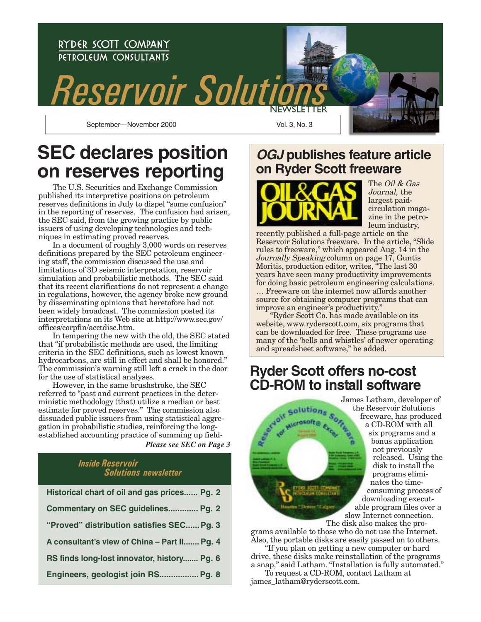

## **SEC declares position on reserves reporting**

The U.S. Securities and Exchange Commission published its interpretive positions on petroleum reserves definitions in July to dispel "some confusion" in the reporting of reserves. The confusion had arisen, the SEC said, from the growing practice by public issuers of using developing technologies and techniques in estimating proved reserves.

In a document of roughly 3,000 words on reserves definitions prepared by the SEC petroleum engineering staff, the commission discussed the use and limitations of 3D seismic interpretation, reservoir simulation and probabilistic methods. The SEC said that its recent clarifications do not represent a change in regulations, however, the agency broke new ground by disseminating opinions that heretofore had not been widely broadcast. The commission posted its interpretations on its Web site at http://www.sec.gov/ offices/corpfin/acctdisc.htm.

In tempering the new with the old, the SEC stated that "if probabilistic methods are used, the limiting criteria in the SEC definitions, such as lowest known hydrocarbons, are still in effect and shall be honored." The commission's warning still left a crack in the door for the use of statistical analyses.

However, in the same brushstroke, the SEC referred to "past and current practices in the deterministic methodology (that) utilize a median or best estimate for proved reserves." The commission also dissuaded public issuers from using statistical aggregation in probabilistic studies, reinforcing the longestablished accounting practice of summing up field-

*Please see SEC on Page 3*

## *Inside Reservoir Solutions newsletter*

| Historical chart of oil and gas prices Pg. 2 |
|----------------------------------------------|
| Commentary on SEC guidelines Pg. 2           |
| "Proved" distribution satisfies SEC Pg. 3    |
| A consultant's view of China - Part II Pg. 4 |
| RS finds long-lost innovator, history Pg. 6  |
| Engineers, geologist join RS Pg. 8           |

## **OGJ publishes feature article on Ryder Scott freeware**



The *Oil & Gas* Journal, the largest paidcirculation magazine in the petroleum industry,

recently published a full-page article on the Reservoir Solutions freeware. In the article, "Slide rules to freeware," which appeared Aug. 14 in the Journally Speaking column on page 17, Guntis Moritis, production editor, writes, "The last 30 years have seen many productivity improvements for doing basic petroleum engineering calculations. … Freeware on the internet now affords another source for obtaining computer programs that can improve an engineer's productivity."

"Ryder Scott Co. has made available on its website, www.ryderscott.com, six programs that can be downloaded for free. These programs use many of the 'bells and whistles' of newer operating and spreadsheet software," he added.

## **Ryder Scott offers no-cost CD-ROM to install software**



grams available to those who do not use the Internet. Also, the portable disks are easily passed on to others.

"If you plan on getting a new computer or hard drive, these disks make reinstallation of the programs a snap," said Latham. "Installation is fully automated."

To request a CD-ROM, contact Latham at james\_latham@ryderscott.com.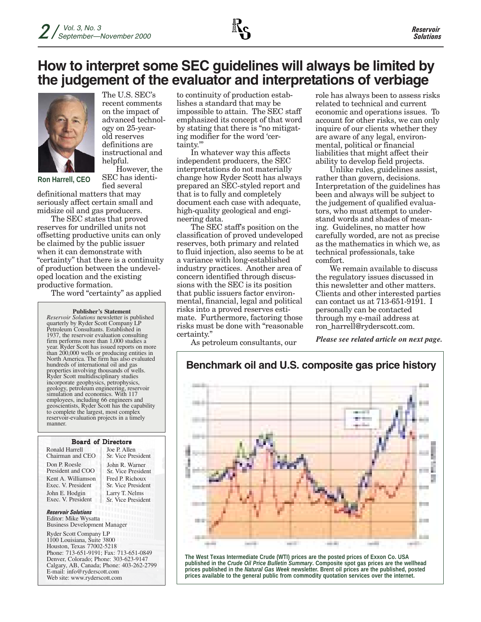## **How to interpret some SEC guidelines will always be limited by the judgement of the evaluator and interpretations of verbiage**



The U.S. SEC's recent comments on the impact of advanced technology on 25-yearold reserves definitions are instructional and helpful.

**Ron Harrell, CEO**

However, the SEC has identified several

definitional matters that may seriously affect certain small and midsize oil and gas producers.

The SEC states that proved reserves for undrilled units not offsetting productive units can only be claimed by the public issuer when it can demonstrate with "certainty" that there is a continuity of production between the undeveloped location and the existing productive formation.

The word "certainty" as applied

**Publisher's Statement**

*Reservoir Solutions* newsletter is published quarterly by Ryder Scott Company LP Petroleum Consultants. Established in 1937, the reservoir evaluation consulting firm performs more than 1,000 studies a year. Ryder Scott has issued reports on more than 200,000 wells or producing entities in North America. The firm has also evaluated hundreds of international oil and gas properties involving thousands of wells. Ryder Scott multidisciplinary studies incorporate geophysics, petrophysics, geology, petroleum engineering, reservoir simulation and economics. With 117 employees, including 66 engineers and geoscientists, Ryder Scott has the capability to complete the largest, most complex reservoir-evaluation projects in a timely manner.

#### Board of Directors

Ronald Harrell Chairman and CEO Don P. Roesle President and COO Kent A. Williamson Exec. V. President John E. Hodgin Exec. V. President

Joe P. Allen Sr. Vice President John R. Warner Sr. Vice President Fred P. Richoux Sr. Vice President Larry T. Nelms Sr. Vice President

*Reservoir Solutions* Editor: Mike Wysatta Business Development Manager

Ryder Scott Company LP 1100 Louisiana, Suite 3800 Houston, Texas 77002-5218 Phone: 713-651-9191; Fax: 713-651-0849 Denver, Colorado; Phone: 303-623-9147 Calgary, AB, Canada; Phone: 403-262-2799 E-mail: info@ryderscott.com Web site: www.ryderscott.com

to continuity of production establishes a standard that may be impossible to attain. The SEC staff emphasized its concept of that word by stating that there is "no mitigating modifier for the word 'certainty.'"

In whatever way this affects independent producers, the SEC interpretations do not materially change how Ryder Scott has always prepared an SEC-styled report and that is to fully and completely document each case with adequate, high-quality geological and engineering data.

The SEC staff's position on the classification of proved undeveloped reserves, both primary and related to fluid injection, also seems to be at a variance with long-established industry practices. Another area of concern identified through discussions with the SEC is its position that public issuers factor environmental, financial, legal and political risks into a proved reserves estimate. Furthermore, factoring those risks must be done with "reasonable certainty."

As petroleum consultants, our

role has always been to assess risks related to technical and current economic and operations issues. To account for other risks, we can only inquire of our clients whether they are aware of any legal, environmental, political or financial liabilities that might affect their ability to develop field projects.

Unlike rules, guidelines assist, rather than govern, decisions. Interpretation of the guidelines has been and always will be subject to the judgement of qualified evaluators, who must attempt to understand words and shades of meaning. Guidelines, no matter how carefully worded, are not as precise as the mathematics in which we, as technical professionals, take comfort.

We remain available to discuss the regulatory issues discussed in this newsletter and other matters. Clients and other interested parties can contact us at 713-651-9191. I personally can be contacted through my e-mail address at ron\_harrell@ryderscott.com.

*Please see related article on next page.*



**The West Texas Intermediate Crude (WTI) prices are the posted prices of Exxon Co. USA published in the** *Crude Oil Price Bulletin Summary***. Composite spot gas prices are the wellhead prices published in the** *Natural Gas Week* **newsletter. Brent oil prices are the published, posted prices available to the general public from commodity quotation services over the internet.**

## **Benchmark oil and U.S. composite gas price history**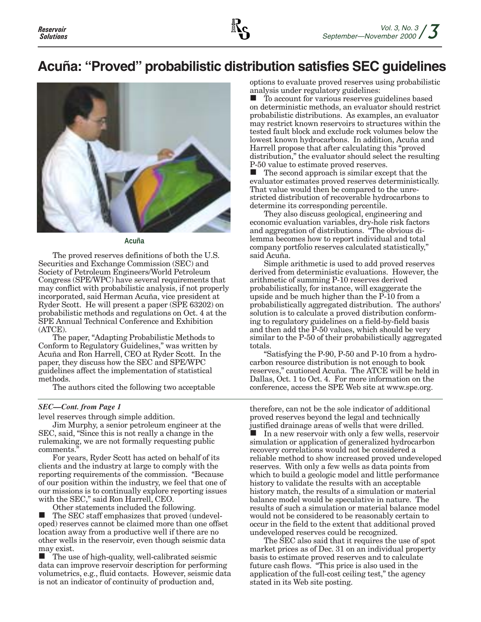## **Acuña: "Proved" probabilistic distribution satisfies SEC guidelines**



**Acuña**

The proved reserves definitions of both the U.S. Securities and Exchange Commission (SEC) and Society of Petroleum Engineers/World Petroleum Congress (SPE/WPC) have several requirements that may conflict with probabilistic analysis, if not properly incorporated, said Herman Acuña, vice president at Ryder Scott. He will present a paper (SPE 63202) on probabilistic methods and regulations on Oct. 4 at the SPE Annual Technical Conference and Exhibition (ATCE).

The paper, "Adapting Probabilistic Methods to Conform to Regulatory Guidelines," was written by Acuña and Ron Harrell, CEO at Ryder Scott. In the paper, they discuss how the SEC and SPE/WPC guidelines affect the implementation of statistical methods.

The authors cited the following two acceptable

#### *SEC—Cont. from Page 1*

level reserves through simple addition.

Jim Murphy, a senior petroleum engineer at the SEC, said, "Since this is not really a change in the rulemaking, we are not formally requesting public comments.

For years, Ryder Scott has acted on behalf of its clients and the industry at large to comply with the reporting requirements of the commission. "Because of our position within the industry, we feel that one of our missions is to continually explore reporting issues with the SEC," said Ron Harrell, CEO.

Other statements included the following.

 The SEC staff emphasizes that proved (undeveloped) reserves cannot be claimed more than one offset location away from a productive well if there are no other wells in the reservoir, even though seismic data may exist.

 $\blacksquare$  The use of high-quality, well-calibrated seismic data can improve reservoir description for performing volumetrics, e.g., fluid contacts. However, seismic data is not an indicator of continuity of production and,

options to evaluate proved reserves using probabilistic analysis under regulatory guidelines:

 To account for various reserves guidelines based on deterministic methods, an evaluator should restrict probabilistic distributions. As examples, an evaluator may restrict known reservoirs to structures within the tested fault block and exclude rock volumes below the lowest known hydrocarbons. In addition, Acuña and Harrell propose that after calculating this "proved distribution," the evaluator should select the resulting P-50 value to estimate proved reserves.

 $\blacksquare$  The second approach is similar except that the evaluator estimates proved reserves deterministically. That value would then be compared to the unrestricted distribution of recoverable hydrocarbons to determine its corresponding percentile.

They also discuss geological, engineering and economic evaluation variables, dry-hole risk factors and aggregation of distributions. "The obvious dilemma becomes how to report individual and total company portfolio reserves calculated statistically," said Acuña.

Simple arithmetic is used to add proved reserves derived from deterministic evaluations. However, the arithmetic of summing P-10 reserves derived probabilistically, for instance, will exaggerate the upside and be much higher than the P-10 from a probabilistically aggregated distribution. The authors' solution is to calculate a proved distribution conforming to regulatory guidelines on a field-by-field basis and then add the P-50 values, which should be very similar to the P-50 of their probabilistically aggregated totals.

"Satisfying the P-90, P-50 and P-10 from a hydrocarbon resource distribution is not enough to book reserves," cautioned Acuña. The ATCE will be held in Dallas, Oct. 1 to Oct. 4. For more information on the conference, access the SPE Web site at www.spe.org.

therefore, can not be the sole indicator of additional proved reserves beyond the legal and technically justified drainage areas of wells that were drilled. In a new reservoir with only a few wells, reservoir simulation or application of generalized hydrocarbon recovery correlations would not be considered a reliable method to show increased proved undeveloped reserves. With only a few wells as data points from which to build a geologic model and little performance history to validate the results with an acceptable history match, the results of a simulation or material balance model would be speculative in nature. The results of such a simulation or material balance model would not be considered to be reasonably certain to occur in the field to the extent that additional proved undeveloped reserves could be recognized.

The SEC also said that it requires the use of spot market prices as of Dec. 31 on an individual property basis to estimate proved reserves and to calculate future cash flows. "This price is also used in the application of the full-cost ceiling test," the agency stated in its Web site posting.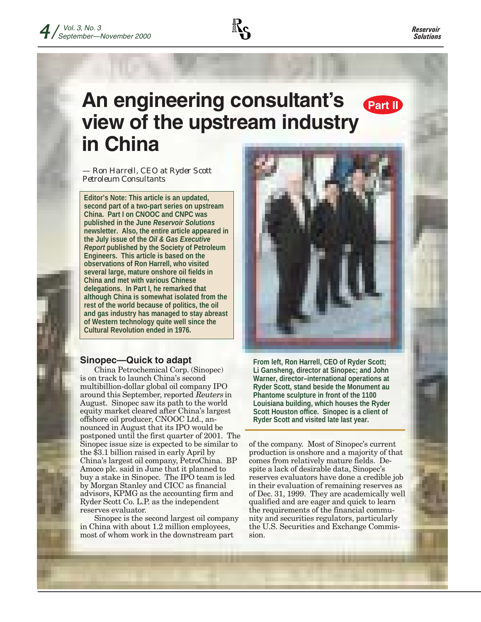

## **An engineering consultant's view of the upstream industry in China Part II**

*— Ron Harrell, CEO at Ryder Scott Petroleum Consultants*

**Editor's Note: This article is an updated, second part of a two-part series on upstream China. Part I on CNOOC and CNPC was published in the June** *Reservoir Solutions* **newsletter. Also, the entire article appeared in the July issue of the** *Oil & Gas Executive Report* **published by the Society of Petroleum Engineers. This article is based on the observations of Ron Harrell, who visited several large, mature onshore oil fields in China and met with various Chinese delegations. In Part I, he remarked that although China is somewhat isolated from the rest of the world because of politics, the oil and gas industry has managed to stay abreast of Western technology quite well since the Cultural Revolution ended in 1976.**

### **Sinopec—Quick to adapt**

China Petrochemical Corp. (Sinopec) is on track to launch China's second multibillion-dollar global oil company IPO around this September, reported Reuters in August. Sinopec saw its path to the world equity market cleared after China's largest offshore oil producer, CNOOC Ltd., announced in August that its IPO would be postponed until the first quarter of 2001. The Sinopec issue size is expected to be similar to the \$3.1 billion raised in early April by China's largest oil company, PetroChina. BP Amoco plc. said in June that it planned to buy a stake in Sinopec. The IPO team is led by Morgan Stanley and CICC as financial advisors, KPMG as the accounting firm and Ryder Scott Co. L.P. as the independent reserves evaluator.

Sinopec is the second largest oil company in China with about 1.2 million employees, most of whom work in the downstream part



**From left, Ron Harrell, CEO of Ryder Scott; Li Gansheng, director at Sinopec; and John Warner, director–international operations at Ryder Scott, stand beside the Monument au Phantome sculpture in front of the 1100 Louisiana building, which houses the Ryder Scott Houston office. Sinopec is a client of Ryder Scott and visited late last year.**

of the company. Most of Sinopec's current production is onshore and a majority of that comes from relatively mature fields. Despite a lack of desirable data, Sinopec's reserves evaluators have done a credible job in their evaluation of remaining reserves as of Dec. 31, 1999. They are academically well qualified and are eager and quick to learn the requirements of the financial community and securities regulators, particularly the U.S. Securities and Exchange Commission.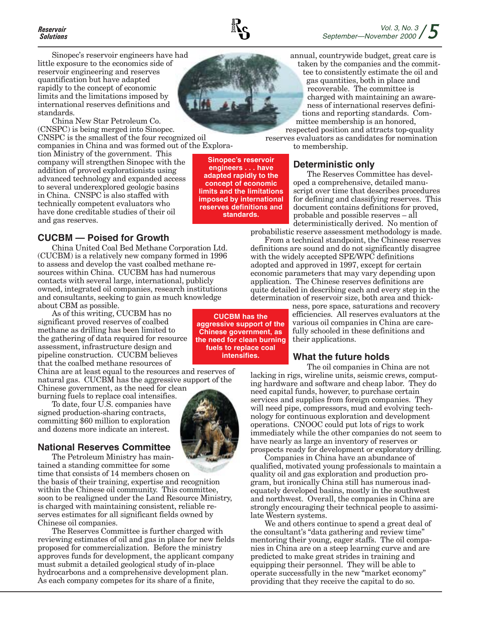## *Solutions*

Sinopec's reservoir engineers have had little exposure to the economics side of reservoir engineering and reserves quantification but have adapted rapidly to the concept of economic limits and the limitations imposed by international reserves definitions and standards.

China New Star Petroleum Co. (CNSPC) is being merged into Sinopec. CNSPC is the smallest of the four recognized oil

companies in China and was formed out of the Exploration Ministry of the government. This company will strengthen Sinopec with the addition of proved explorationists using advanced technology and expanded access to several underexplored geologic basins in China. CNSPC is also staffed with technically competent evaluators who have done creditable studies of their oil and gas reserves.

### **CUCBM — Poised for Growth**

China United Coal Bed Methane Corporation Ltd. (CUCBM) is a relatively new company formed in 1996 to assess and develop the vast coalbed methane resources within China. CUCBM has had numerous contacts with several large, international, publicly owned, integrated oil companies, research institutions and consultants, seeking to gain as much knowledge about CBM as possible.

As of this writing, CUCBM has no significant proved reserves of coalbed methane as drilling has been limited to the gathering of data required for resource assessment, infrastructure design and pipeline construction. CUCBM believes that the coalbed methane resources of

China are at least equal to the resources and reserves of natural gas. CUCBM has the aggressive support of the Chinese government, as the need for clean

burning fuels to replace coal intensifies. To date, four U.S. companies have signed production-sharing contracts, committing \$60 million to exploration

## and dozens more indicate an interest. **National Reserves Committee**

The Petroleum Ministry has maintained a standing committee for some time that consists of 14 members chosen on

the basis of their training, expertise and recognition within the Chinese oil community. This committee, soon to be realigned under the Land Resource Ministry, is charged with maintaining consistent, reliable reserves estimates for all significant fields owned by Chinese oil companies.

The Reserves Committee is further charged with reviewing estimates of oil and gas in place for new fields proposed for commercialization. Before the ministry approves funds for development, the applicant company must submit a detailed geological study of in-place hydrocarbons and a comprehensive development plan. As each company competes for its share of a finite,



**Sinopec's reservoir engineers . . . have adapted rapidly to the concept of economic limits and the limitations imposed by international reserves definitions and standards.**

annual, countrywide budget, great care is

taken by the companies and the committee to consistently estimate the oil and gas quantities, both in place and recoverable. The committee is charged with maintaining an awareness of international reserves definitions and reporting standards. Committee membership is an honored,

respected position and attracts top-quality reserves evaluators as candidates for nomination to membership.

## **Deterministic only**

The Reserves Committee has developed a comprehensive, detailed manuscript over time that describes procedures for defining and classifying reserves. This document contains definitions for proved, probable and possible reserves – all deterministically derived. No mention of

probabilistic reserve assessment methodology is made. From a technical standpoint, the Chinese reserves

definitions are sound and do not significantly disagree with the widely accepted SPE/WPC definitions adopted and approved in 1997, except for certain economic parameters that may vary depending upon application. The Chinese reserves definitions are quite detailed in describing each and every step in the determination of reservoir size, both area and thick-

ness, pore space, saturations and recovery efficiencies. All reserves evaluators at the various oil companies in China are carefully schooled in these definitions and their applications.

### **What the future holds**

The oil companies in China are not lacking in rigs, wireline units, seismic crews, computing hardware and software and cheap labor. They do need capital funds, however, to purchase certain services and supplies from foreign companies. They will need pipe, compressors, mud and evolving technology for continuous exploration and development operations. CNOOC could put lots of rigs to work immediately while the other companies do not seem to have nearly as large an inventory of reserves or prospects ready for development or exploratory drilling.

Companies in China have an abundance of qualified, motivated young professionals to maintain a quality oil and gas exploration and production program, but ironically China still has numerous inadequately developed basins, mostly in the southwest and northwest. Overall, the companies in China are strongly encouraging their technical people to assimilate Western systems.

We and others continue to spend a great deal of the consultant's "data gathering and review time" mentoring their young, eager staffs. The oil companies in China are on a steep learning curve and are predicted to make great strides in training and equipping their personnel. They will be able to operate successfully in the new "market economy" providing that they receive the capital to do so.

**CUCBM has the aggressive support of the Chinese government, as the need for clean burning fuels to replace coal intensifies.**

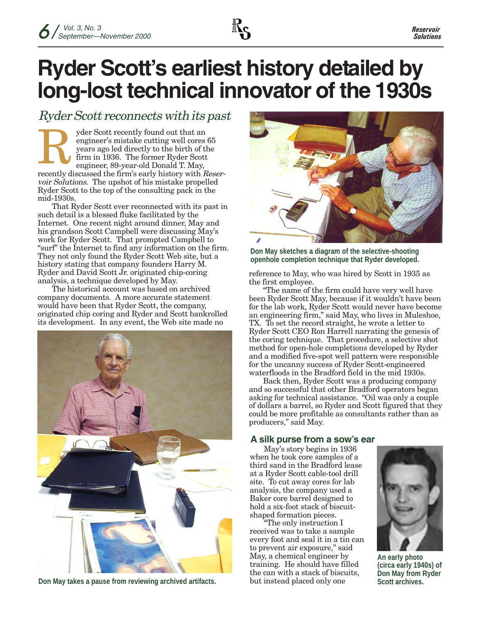

# **Ryder Scott's earliest history detailed by long-lost technical innovator of the 1930s**

## Ryder Scott reconnects with its past

recently discussed the firm's early history with Reservoir Solutions. The upshot of his mistake propelled Ryder Scott to the top of the consulting pack in the mid-1930s. yder Scott recently found out that an engineer's mistake cutting well cores 65 years ago led directly to the birth of the firm in 1936. The former Ryder Scott engineer, 89-year-old Donald T. May, R

That Ryder Scott ever reconnected with its past in such detail is a blessed fluke facilitated by the Internet. One recent night around dinner, May and his grandson Scott Campbell were discussing May's work for Ryder Scott. That prompted Campbell to "surf" the Internet to find any information on the firm. They not only found the Ryder Scott Web site, but a history stating that company founders Harry M. Ryder and David Scott Jr. originated chip-coring analysis, a technique developed by May.

The historical account was based on archived company documents. A more accurate statement would have been that Ryder Scott, the company, originated chip coring and Ryder and Scott bankrolled its development. In any event, the Web site made no



**Don May takes a pause from reviewing archived artifacts.**



**Don May sketches a diagram of the selective-shooting openhole completion technique that Ryder developed.**

reference to May, who was hired by Scott in 1935 as the first employee.

"The name of the firm could have very well have been Ryder Scott May, because if it wouldn't have been for the lab work, Ryder Scott would never have become an engineering firm," said May, who lives in Muleshoe, TX. To set the record straight, he wrote a letter to Ryder Scott CEO Ron Harrell narrating the genesis of the coring technique. That procedure, a selective shot method for open-hole completions developed by Ryder and a modified five-spot well pattern were responsible for the uncanny success of Ryder Scott-engineered waterfloods in the Bradford field in the mid 1930s.

Back then, Ryder Scott was a producing company and so successful that other Bradford operators began asking for technical assistance. "Oil was only a couple of dollars a barrel, so Ryder and Scott figured that they could be more profitable as consultants rather than as producers," said May.

## **A silk purse from a sow's ear**

May's story begins in 1936 when he took core samples of a third sand in the Bradford lease at a Ryder Scott cable-tool drill site. To cut away cores for lab analysis, the company used a Baker core barrel designed to hold a six-foot stack of biscuitshaped formation pieces.

"The only instruction I received was to take a sample every foot and seal it in a tin can to prevent air exposure," said May, a chemical engineer by training. He should have filled the can with a stack of biscuits, but instead placed only one



**An early photo (circa early 1940s) of Don May from Ryder Scott archives.**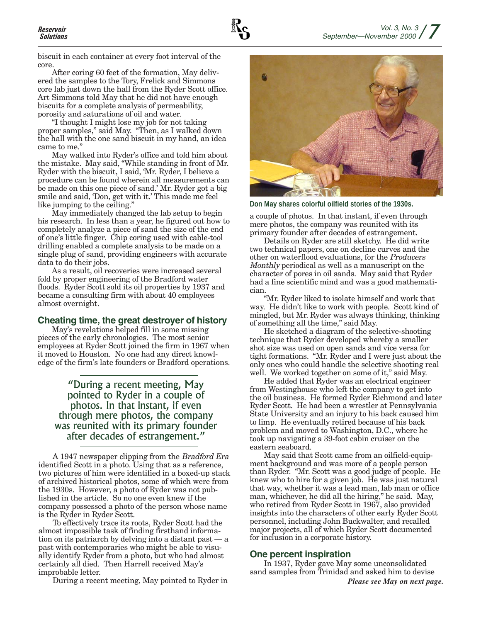biscuit in each container at every foot interval of the core.

After coring 60 feet of the formation, May delivered the samples to the Tory, Frelick and Simmons core lab just down the hall from the Ryder Scott office. Art Simmons told May that he did not have enough biscuits for a complete analysis of permeability, porosity and saturations of oil and water.

"I thought I might lose my job for not taking proper samples," said May. "Then, as I walked down the hall with the one sand biscuit in my hand, an idea came to me."

May walked into Ryder's office and told him about the mistake. May said, "While standing in front of Mr. Ryder with the biscuit, I said, 'Mr. Ryder, I believe a procedure can be found wherein all measurements can be made on this one piece of sand.' Mr. Ryder got a big smile and said, 'Don, get with it.' This made me feel like jumping to the ceiling."

May immediately changed the lab setup to begin his research. In less than a year, he figured out how to completely analyze a piece of sand the size of the end of one's little finger. Chip coring used with cable-tool drilling enabled a complete analysis to be made on a single plug of sand, providing engineers with accurate data to do their jobs.

As a result, oil recoveries were increased several fold by proper engineering of the Bradford water floods. Ryder Scott sold its oil properties by 1937 and became a consulting firm with about 40 employees almost overnight.

#### **Cheating time, the great destroyer of history**

May's revelations helped fill in some missing pieces of the early chronologies. The most senior employees at Ryder Scott joined the firm in 1967 when it moved to Houston. No one had any direct knowledge of the firm's late founders or Bradford operations.

### "During a recent meeting, May pointed to Ryder in a couple of photos. In that instant, if even through mere photos, the company was reunited with its primary founder after decades of estrangement."

A 1947 newspaper clipping from the Bradford Era identified Scott in a photo. Using that as a reference, two pictures of him were identified in a boxed-up stack of archived historical photos, some of which were from the 1930s. However, a photo of Ryder was not published in the article. So no one even knew if the company possessed a photo of the person whose name is the Ryder in Ryder Scott.

To effectively trace its roots, Ryder Scott had the almost impossible task of finding firsthand information on its patriarch by delving into a distant past — a past with contemporaries who might be able to visually identify Ryder from a photo, but who had almost certainly all died. Then Harrell received May's improbable letter.

During a recent meeting, May pointed to Ryder in



**Don May shares colorful oilfield stories of the 1930s.**

a couple of photos. In that instant, if even through mere photos, the company was reunited with its primary founder after decades of estrangement.

Details on Ryder are still sketchy. He did write two technical papers, one on decline curves and the other on waterflood evaluations, for the Producers Monthly periodical as well as a manuscript on the character of pores in oil sands. May said that Ryder had a fine scientific mind and was a good mathematician.

"Mr. Ryder liked to isolate himself and work that way. He didn't like to work with people. Scott kind of mingled, but Mr. Ryder was always thinking, thinking of something all the time," said May.

He sketched a diagram of the selective-shooting technique that Ryder developed whereby a smaller shot size was used on open sands and vice versa for tight formations. "Mr. Ryder and I were just about the only ones who could handle the selective shooting real well. We worked together on some of it," said May.

He added that Ryder was an electrical engineer from Westinghouse who left the company to get into the oil business. He formed Ryder Richmond and later Ryder Scott. He had been a wrestler at Pennsylvania State University and an injury to his back caused him to limp. He eventually retired because of his back problem and moved to Washington, D.C., where he took up navigating a 39-foot cabin cruiser on the eastern seaboard.

May said that Scott came from an oilfield-equipment background and was more of a people person than Ryder. "Mr. Scott was a good judge of people. He knew who to hire for a given job. He was just natural that way, whether it was a lead man, lab man or office man, whichever, he did all the hiring," he said. May, who retired from Ryder Scott in 1967, also provided insights into the characters of other early Ryder Scott personnel, including John Buckwalter, and recalled major projects, all of which Ryder Scott documented for inclusion in a corporate history.

#### **One percent inspiration**

In 1937, Ryder gave May some unconsolidated sand samples from Trinidad and asked him to devise